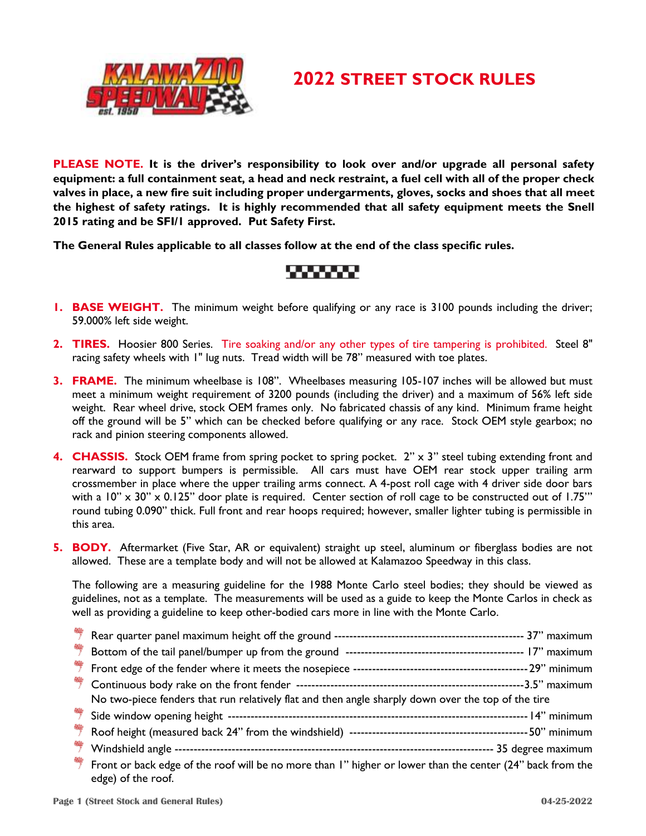

## **2022 STREET STOCK RULES**

**PLEASE NOTE. It is the driver's responsibility to look over and/or upgrade all personal safety equipment: a full containment seat, a head and neck restraint, a fuel cell with all of the proper check valves in place, a new fire suit including proper undergarments, gloves, socks and shoes that all meet the highest of safety ratings. It is highly recommended that all safety equipment meets the Snell 2015 rating and be SFI/1 approved. Put Safety First.**

**The General Rules applicable to all classes follow at the end of the class specific rules.** 

### ,,,,,,,,

- **1. BASE WEIGHT.** The minimum weight before qualifying or any race is 3100 pounds including the driver; 59.000% left side weight.
- **2. TIRES.** Hoosier 800 Series. Tire soaking and/or any other types of tire tampering is prohibited. Steel 8" racing safety wheels with 1" lug nuts. Tread width will be 78" measured with toe plates.
- **3. FRAME.** The minimum wheelbase is 108". Wheelbases measuring 105-107 inches will be allowed but must meet a minimum weight requirement of 3200 pounds (including the driver) and a maximum of 56% left side weight. Rear wheel drive, stock OEM frames only. No fabricated chassis of any kind. Minimum frame height off the ground will be 5" which can be checked before qualifying or any race. Stock OEM style gearbox; no rack and pinion steering components allowed.
- **4. CHASSIS.** Stock OEM frame from spring pocket to spring pocket. 2" x 3" steel tubing extending front and rearward to support bumpers is permissible. All cars must have OEM rear stock upper trailing arm crossmember in place where the upper trailing arms connect. A 4-post roll cage with 4 driver side door bars with a  $10'' \times 30'' \times 0.125''$  door plate is required. Center section of roll cage to be constructed out of 1.75" round tubing 0.090" thick. Full front and rear hoops required; however, smaller lighter tubing is permissible in this area.
- **5. BODY.** Aftermarket (Five Star, AR or equivalent) straight up steel, aluminum or fiberglass bodies are not allowed. These are a template body and will not be allowed at Kalamazoo Speedway in this class.

The following are a measuring guideline for the 1988 Monte Carlo steel bodies; they should be viewed as guidelines, not as a template. The measurements will be used as a guide to keep the Monte Carlos in check as well as providing a guideline to keep other-bodied cars more in line with the Monte Carlo.

| 帶 |                                                                                                                                 |
|---|---------------------------------------------------------------------------------------------------------------------------------|
|   |                                                                                                                                 |
|   |                                                                                                                                 |
|   | No two-piece fenders that run relatively flat and then angle sharply down over the top of the tire                              |
| 弊 |                                                                                                                                 |
|   |                                                                                                                                 |
|   |                                                                                                                                 |
| 帶 | Front or back edge of the roof will be no more than I" higher or lower than the center (24" back from the<br>edge) of the roof. |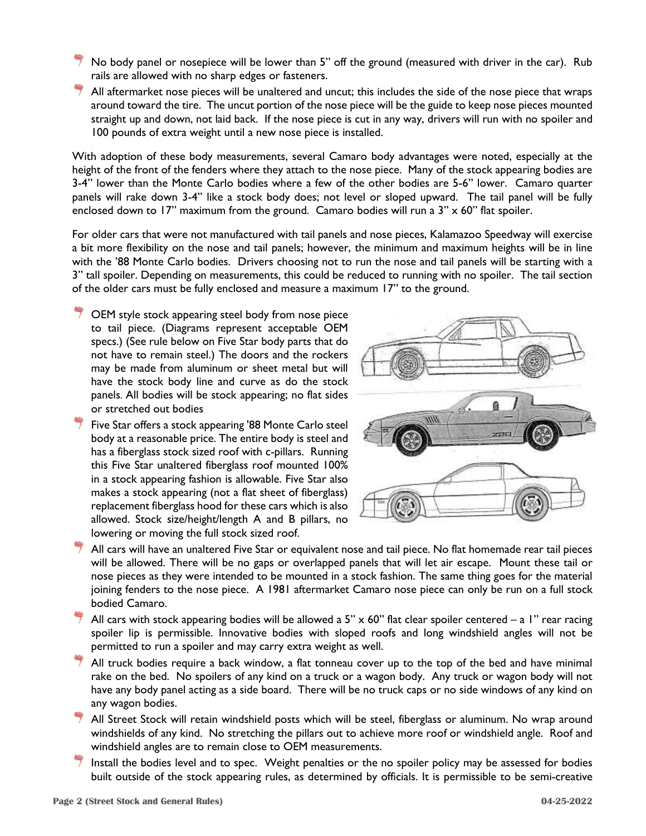- No body panel or nosepiece will be lower than 5" off the ground (measured with driver in the car). Rub rails are allowed with no sharp edges or fasteners.
- $\overline{\phantom{a}}$  All aftermarket nose pieces will be unaltered and uncut; this includes the side of the nose piece that wraps around toward the tire. The uncut portion of the nose piece will be the guide to keep nose pieces mounted straight up and down, not laid back. If the nose piece is cut in any way, drivers will run with no spoiler and 100 pounds of extra weight until a new nose piece is installed.

With adoption of these body measurements, several Camaro body advantages were noted, especially at the height of the front of the fenders where they attach to the nose piece. Many of the stock appearing bodies are 3-4" lower than the Monte Carlo bodies where a few of the other bodies are 5-6" lower. Camaro quarter panels will rake down 3-4" like a stock body does; not level or sloped upward. The tail panel will be fully enclosed down to 17" maximum from the ground. Camaro bodies will run a 3" x 60" flat spoiler.

For older cars that were not manufactured with tail panels and nose pieces, Kalamazoo Speedway will exercise a bit more flexibility on the nose and tail panels; however, the minimum and maximum heights will be in line with the '88 Monte Carlo bodies. Drivers choosing not to run the nose and tail panels will be starting with a 3" tall spoiler. Depending on measurements, this could be reduced to running with no spoiler. The tail section of the older cars must be fully enclosed and measure a maximum 17" to the ground.

- OEM style stock appearing steel body from nose piece to tail piece. (Diagrams represent acceptable OEM specs.) (See rule below on Five Star body parts that do not have to remain steel.) The doors and the rockers may be made from aluminum or sheet metal but will have the stock body line and curve as do the stock panels. All bodies will be stock appearing; no flat sides or stretched out bodies
- $\overline{\mathcal{T}}$  Five Star offers a stock appearing '88 Monte Carlo steel body at a reasonable price. The entire body is steel and has a fiberglass stock sized roof with c-pillars. Running this Five Star unaltered fiberglass roof mounted 100% in a stock appearing fashion is allowable. Five Star also makes a stock appearing (not a flat sheet of fiberglass) replacement fiberglass hood for these cars which is also allowed. Stock size/height/length A and B pillars, no lowering or moving the full stock sized roof.



- All cars will have an unaltered Five Star or equivalent nose and tail piece. No flat homemade rear tail pieces will be allowed. There will be no gaps or overlapped panels that will let air escape. Mount these tail or nose pieces as they were intended to be mounted in a stock fashion. The same thing goes for the material joining fenders to the nose piece. A 1981 aftermarket Camaro nose piece can only be run on a full stock bodied Camaro.
- All cars with stock appearing bodies will be allowed a 5"  $\times$  60" flat clear spoiler centered a 1" rear racing spoiler lip is permissible. Innovative bodies with sloped roofs and long windshield angles will not be permitted to run a spoiler and may carry extra weight as well.
- All truck bodies require a back window, a flat tonneau cover up to the top of the bed and have minimal rake on the bed.No spoilers of any kind on a truck or a wagon body. Any truck or wagon body will not have any body panel acting as a side board. There will be no truck caps or no side windows of any kind on any wagon bodies.
- All Street Stock will retain windshield posts which will be steel, fiberglass or aluminum. No wrap around windshields of any kind. No stretching the pillars out to achieve more roof or windshield angle. Roof and windshield angles are to remain close to OEM measurements.
- Install the bodies level and to spec. Weight penalties or the no spoiler policy may be assessed for bodies built outside of the stock appearing rules, as determined by officials. It is permissible to be semi-creative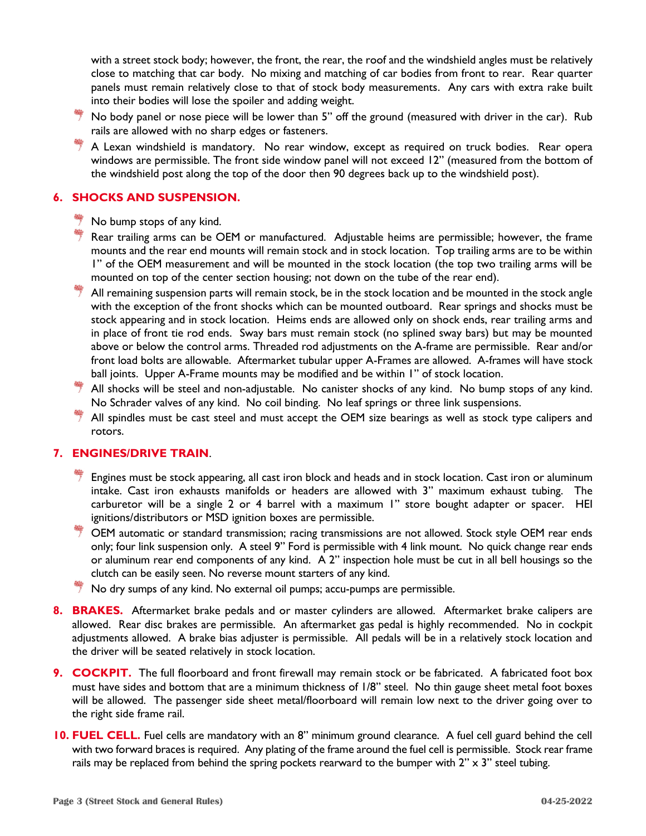with a street stock body; however, the front, the rear, the roof and the windshield angles must be relatively close to matching that car body. No mixing and matching of car bodies from front to rear. Rear quarter panels must remain relatively close to that of stock body measurements. Any cars with extra rake built into their bodies will lose the spoiler and adding weight.

- $\stackrel{\text{\tiny def}}{=}$  No body panel or nose piece will be lower than 5" off the ground (measured with driver in the car). Rub rails are allowed with no sharp edges or fasteners.
- $\stackrel{\text{\tiny def}}{=}$  A Lexan windshield is mandatory. No rear window, except as required on truck bodies. Rear opera windows are permissible. The front side window panel will not exceed 12" (measured from the bottom of the windshield post along the top of the door then 90 degrees back up to the windshield post).

### **6. SHOCKS AND SUSPENSION.**

- No bump stops of any kind.
- Rear trailing arms can be OEM or manufactured. Adjustable heims are permissible; however, the frame mounts and the rear end mounts will remain stock and in stock location. Top trailing arms are to be within 1" of the OEM measurement and will be mounted in the stock location (the top two trailing arms will be mounted on top of the center section housing; not down on the tube of the rear end).
- $*$  All remaining suspension parts will remain stock, be in the stock location and be mounted in the stock angle with the exception of the front shocks which can be mounted outboard. Rear springs and shocks must be stock appearing and in stock location. Heims ends are allowed only on shock ends, rear trailing arms and in place of front tie rod ends. Sway bars must remain stock (no splined sway bars) but may be mounted above or below the control arms. Threaded rod adjustments on the A-frame are permissible. Rear and/or front load bolts are allowable. Aftermarket tubular upper A-Frames are allowed. A-frames will have stock ball joints. Upper A-Frame mounts may be modified and be within 1" of stock location.
- All shocks will be steel and non-adjustable. No canister shocks of any kind. No bump stops of any kind. No Schrader valves of any kind. No coil binding. No leaf springs or three link suspensions.
- All spindles must be cast steel and must accept the OEM size bearings as well as stock type calipers and rotors.

### **7. ENGINES/DRIVE TRAIN**.

- Engines must be stock appearing, all cast iron block and heads and in stock location. Cast iron or aluminum intake. Cast iron exhausts manifolds or headers are allowed with 3" maximum exhaust tubing. The carburetor will be a single 2 or 4 barrel with a maximum 1" store bought adapter or spacer. HEI ignitions/distributors or MSD ignition boxes are permissible.
- OEM automatic or standard transmission; racing transmissions are not allowed. Stock style OEM rear ends only; four link suspension only. A steel 9" Ford is permissible with 4 link mount. No quick change rear ends or aluminum rear end components of any kind. A 2" inspection hole must be cut in all bell housings so the clutch can be easily seen. No reverse mount starters of any kind.
- No dry sumps of any kind. No external oil pumps; accu-pumps are permissible.
- **8. BRAKES.** Aftermarket brake pedals and or master cylinders are allowed. Aftermarket brake calipers are allowed. Rear disc brakes are permissible. An aftermarket gas pedal is highly recommended. No in cockpit adjustments allowed. A brake bias adjuster is permissible. All pedals will be in a relatively stock location and the driver will be seated relatively in stock location.
- **9. COCKPIT.** The full floorboard and front firewall may remain stock or be fabricated. A fabricated foot box must have sides and bottom that are a minimum thickness of 1/8" steel. No thin gauge sheet metal foot boxes will be allowed. The passenger side sheet metal/floorboard will remain low next to the driver going over to the right side frame rail.
- **10. FUEL CELL.** Fuel cells are mandatory with an 8" minimum ground clearance. A fuel cell guard behind the cell with two forward braces is required. Any plating of the frame around the fuel cell is permissible. Stock rear frame rails may be replaced from behind the spring pockets rearward to the bumper with  $2" \times 3"$  steel tubing.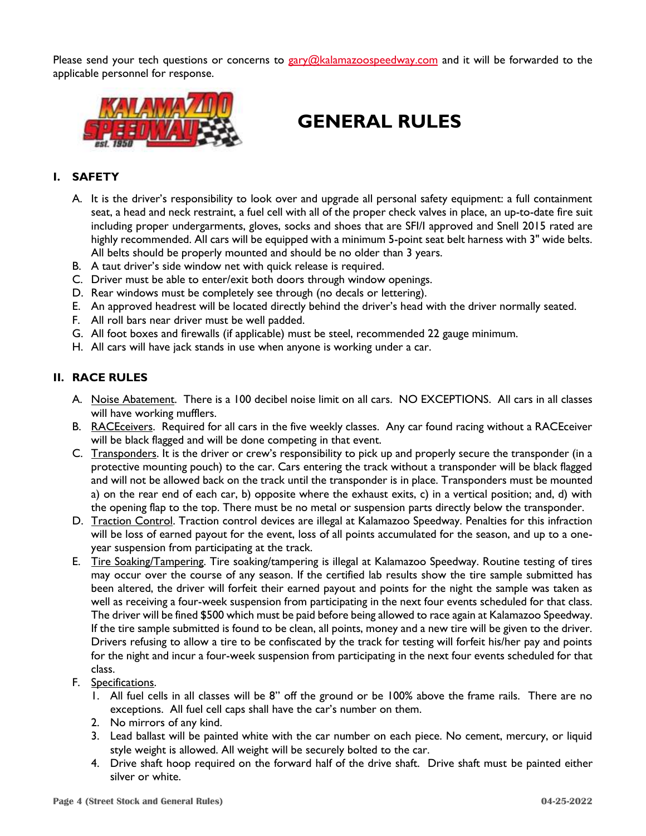Please send your tech questions or concerns to [gary@kalamazoospeedway.com](mailto:gary@kalamazoospeedway.com) and it will be forwarded to the applicable personnel for response.



# **GENERAL RULES**

### **I. SAFETY**

- A. It is the driver's responsibility to look over and upgrade all personal safety equipment: a full containment seat, a head and neck restraint, a fuel cell with all of the proper check valves in place, an up-to-date fire suit including proper undergarments, gloves, socks and shoes that are SFI/I approved and Snell 2015 rated are highly recommended. All cars will be equipped with a minimum 5-point seat belt harness with 3" wide belts. All belts should be properly mounted and should be no older than 3 years.
- B. A taut driver's side window net with quick release is required.
- C. Driver must be able to enter/exit both doors through window openings.
- D. Rear windows must be completely see through (no decals or lettering).
- E. An approved headrest will be located directly behind the driver's head with the driver normally seated.
- F. All roll bars near driver must be well padded.
- G. All foot boxes and firewalls (if applicable) must be steel, recommended 22 gauge minimum.
- H. All cars will have jack stands in use when anyone is working under a car.

### **II. RACE RULES**

- A. Noise Abatement. There is a 100 decibel noise limit on all cars. NO EXCEPTIONS. All cars in all classes will have working mufflers.
- B. RACEceivers. Required for all cars in the five weekly classes. Any car found racing without a RACEceiver will be black flagged and will be done competing in that event.
- C. Transponders. It is the driver or crew's responsibility to pick up and properly secure the transponder (in a protective mounting pouch) to the car. Cars entering the track without a transponder will be black flagged and will not be allowed back on the track until the transponder is in place. Transponders must be mounted a) on the rear end of each car, b) opposite where the exhaust exits, c) in a vertical position; and, d) with the opening flap to the top. There must be no metal or suspension parts directly below the transponder.
- D. Traction Control. Traction control devices are illegal at Kalamazoo Speedway. Penalties for this infraction will be loss of earned payout for the event, loss of all points accumulated for the season, and up to a oneyear suspension from participating at the track.
- E. Tire Soaking/Tampering. Tire soaking/tampering is illegal at Kalamazoo Speedway. Routine testing of tires may occur over the course of any season. If the certified lab results show the tire sample submitted has been altered, the driver will forfeit their earned payout and points for the night the sample was taken as well as receiving a four-week suspension from participating in the next four events scheduled for that class. The driver will be fined \$500 which must be paid before being allowed to race again at Kalamazoo Speedway. If the tire sample submitted is found to be clean, all points, money and a new tire will be given to the driver. Drivers refusing to allow a tire to be confiscated by the track for testing will forfeit his/her pay and points for the night and incur a four-week suspension from participating in the next four events scheduled for that class.
- F. Specifications.
	- 1. All fuel cells in all classes will be 8" off the ground or be 100% above the frame rails. There are no exceptions. All fuel cell caps shall have the car's number on them.
	- 2. No mirrors of any kind.
	- 3. Lead ballast will be painted white with the car number on each piece. No cement, mercury, or liquid style weight is allowed. All weight will be securely bolted to the car.
	- 4. Drive shaft hoop required on the forward half of the drive shaft. Drive shaft must be painted either silver or white.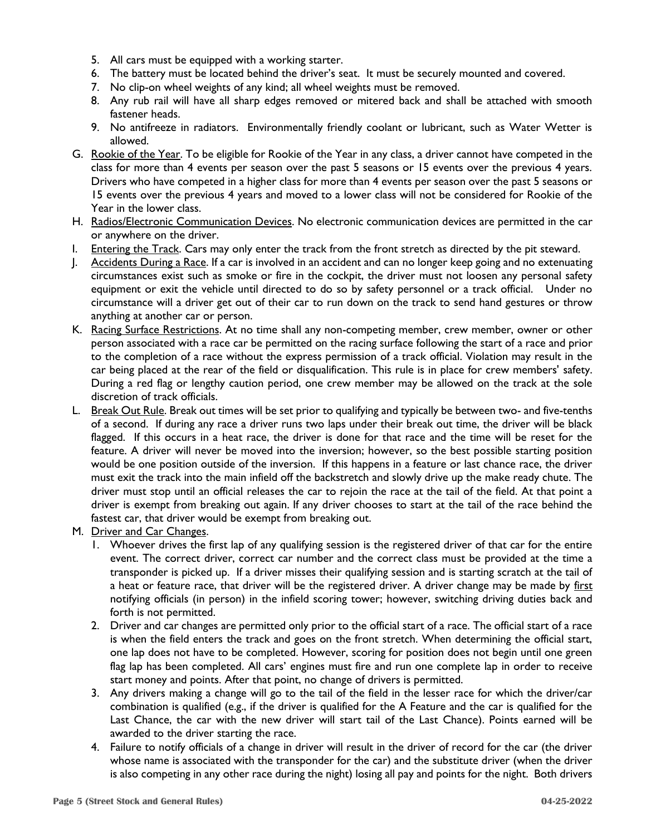- 5. All cars must be equipped with a working starter.
- 6. The battery must be located behind the driver's seat. It must be securely mounted and covered.
- 7. No clip-on wheel weights of any kind; all wheel weights must be removed.
- 8. Any rub rail will have all sharp edges removed or mitered back and shall be attached with smooth fastener heads.
- 9. No antifreeze in radiators. Environmentally friendly coolant or lubricant, such as Water Wetter is allowed.
- G. Rookie of the Year. To be eligible for Rookie of the Year in any class, a driver cannot have competed in the class for more than 4 events per season over the past 5 seasons or 15 events over the previous 4 years. Drivers who have competed in a higher class for more than 4 events per season over the past 5 seasons or 15 events over the previous 4 years and moved to a lower class will not be considered for Rookie of the Year in the lower class.
- H. Radios/Electronic Communication Devices. No electronic communication devices are permitted in the car or anywhere on the driver.
- I. Entering the Track. Cars may only enter the track from the front stretch as directed by the pit steward.
- J. Accidents During a Race. If a car is involved in an accident and can no longer keep going and no extenuating circumstances exist such as smoke or fire in the cockpit, the driver must not loosen any personal safety equipment or exit the vehicle until directed to do so by safety personnel or a track official. Under no circumstance will a driver get out of their car to run down on the track to send hand gestures or throw anything at another car or person.
- K. Racing Surface Restrictions. At no time shall any non-competing member, crew member, owner or other person associated with a race car be permitted on the racing surface following the start of a race and prior to the completion of a race without the express permission of a track official. Violation may result in the car being placed at the rear of the field or disqualification. This rule is in place for crew members' safety. During a red flag or lengthy caution period, one crew member may be allowed on the track at the sole discretion of track officials.
- L. Break Out Rule. Break out times will be set prior to qualifying and typically be between two- and five-tenths of a second. If during any race a driver runs two laps under their break out time, the driver will be black flagged. If this occurs in a heat race, the driver is done for that race and the time will be reset for the feature. A driver will never be moved into the inversion; however, so the best possible starting position would be one position outside of the inversion. If this happens in a feature or last chance race, the driver must exit the track into the main infield off the backstretch and slowly drive up the make ready chute. The driver must stop until an official releases the car to rejoin the race at the tail of the field. At that point a driver is exempt from breaking out again. If any driver chooses to start at the tail of the race behind the fastest car, that driver would be exempt from breaking out.
- M. Driver and Car Changes.
	- 1. Whoever drives the first lap of any qualifying session is the registered driver of that car for the entire event. The correct driver, correct car number and the correct class must be provided at the time a transponder is picked up. If a driver misses their qualifying session and is starting scratch at the tail of a heat or feature race, that driver will be the registered driver. A driver change may be made by first notifying officials (in person) in the infield scoring tower; however, switching driving duties back and forth is not permitted.
	- 2. Driver and car changes are permitted only prior to the official start of a race. The official start of a race is when the field enters the track and goes on the front stretch. When determining the official start, one lap does not have to be completed. However, scoring for position does not begin until one green flag lap has been completed. All cars' engines must fire and run one complete lap in order to receive start money and points. After that point, no change of drivers is permitted.
	- 3. Any drivers making a change will go to the tail of the field in the lesser race for which the driver/car combination is qualified (e.g., if the driver is qualified for the A Feature and the car is qualified for the Last Chance, the car with the new driver will start tail of the Last Chance). Points earned will be awarded to the driver starting the race.
	- 4. Failure to notify officials of a change in driver will result in the driver of record for the car (the driver whose name is associated with the transponder for the car) and the substitute driver (when the driver is also competing in any other race during the night) losing all pay and points for the night. Both drivers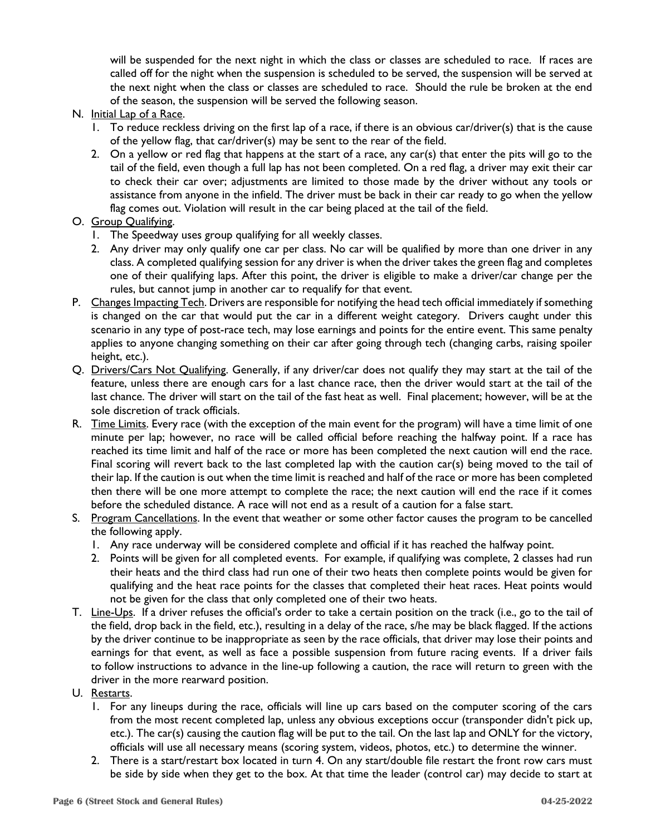will be suspended for the next night in which the class or classes are scheduled to race. If races are called off for the night when the suspension is scheduled to be served, the suspension will be served at the next night when the class or classes are scheduled to race. Should the rule be broken at the end of the season, the suspension will be served the following season.

- N. Initial Lap of a Race.
	- 1. To reduce reckless driving on the first lap of a race, if there is an obvious car/driver(s) that is the cause of the yellow flag, that car/driver(s) may be sent to the rear of the field.
	- 2. On a yellow or red flag that happens at the start of a race, any car(s) that enter the pits will go to the tail of the field, even though a full lap has not been completed. On a red flag, a driver may exit their car to check their car over; adjustments are limited to those made by the driver without any tools or assistance from anyone in the infield. The driver must be back in their car ready to go when the yellow flag comes out. Violation will result in the car being placed at the tail of the field.
- O. Group Qualifying.
	- 1. The Speedway uses group qualifying for all weekly classes.
	- 2. Any driver may only qualify one car per class. No car will be qualified by more than one driver in any class. A completed qualifying session for any driver is when the driver takes the green flag and completes one of their qualifying laps. After this point, the driver is eligible to make a driver/car change per the rules, but cannot jump in another car to requalify for that event.
- P. Changes Impacting Tech. Drivers are responsible for notifying the head tech official immediately if something is changed on the car that would put the car in a different weight category. Drivers caught under this scenario in any type of post-race tech, may lose earnings and points for the entire event. This same penalty applies to anyone changing something on their car after going through tech (changing carbs, raising spoiler height, etc.).
- Q. Drivers/Cars Not Qualifying. Generally, if any driver/car does not qualify they may start at the tail of the feature, unless there are enough cars for a last chance race, then the driver would start at the tail of the last chance. The driver will start on the tail of the fast heat as well. Final placement; however, will be at the sole discretion of track officials.
- R. Time Limits. Every race (with the exception of the main event for the program) will have a time limit of one minute per lap; however, no race will be called official before reaching the halfway point. If a race has reached its time limit and half of the race or more has been completed the next caution will end the race. Final scoring will revert back to the last completed lap with the caution car(s) being moved to the tail of their lap. If the caution is out when the time limit is reached and half of the race or more has been completed then there will be one more attempt to complete the race; the next caution will end the race if it comes before the scheduled distance. A race will not end as a result of a caution for a false start.
- S. Program Cancellations. In the event that weather or some other factor causes the program to be cancelled the following apply.
	- 1. Any race underway will be considered complete and official if it has reached the halfway point.
	- 2. Points will be given for all completed events. For example, if qualifying was complete, 2 classes had run their heats and the third class had run one of their two heats then complete points would be given for qualifying and the heat race points for the classes that completed their heat races. Heat points would not be given for the class that only completed one of their two heats.
- T. Line-Ups. If a driver refuses the official's order to take a certain position on the track (i.e., go to the tail of the field, drop back in the field, etc.), resulting in a delay of the race, s/he may be black flagged. If the actions by the driver continue to be inappropriate as seen by the race officials, that driver may lose their points and earnings for that event, as well as face a possible suspension from future racing events. If a driver fails to follow instructions to advance in the line-up following a caution, the race will return to green with the driver in the more rearward position.
- U. Restarts.
	- 1. For any lineups during the race, officials will line up cars based on the computer scoring of the cars from the most recent completed lap, unless any obvious exceptions occur (transponder didn't pick up, etc.). The car(s) causing the caution flag will be put to the tail. On the last lap and ONLY for the victory, officials will use all necessary means (scoring system, videos, photos, etc.) to determine the winner.
	- 2. There is a start/restart box located in turn 4. On any start/double file restart the front row cars must be side by side when they get to the box. At that time the leader (control car) may decide to start at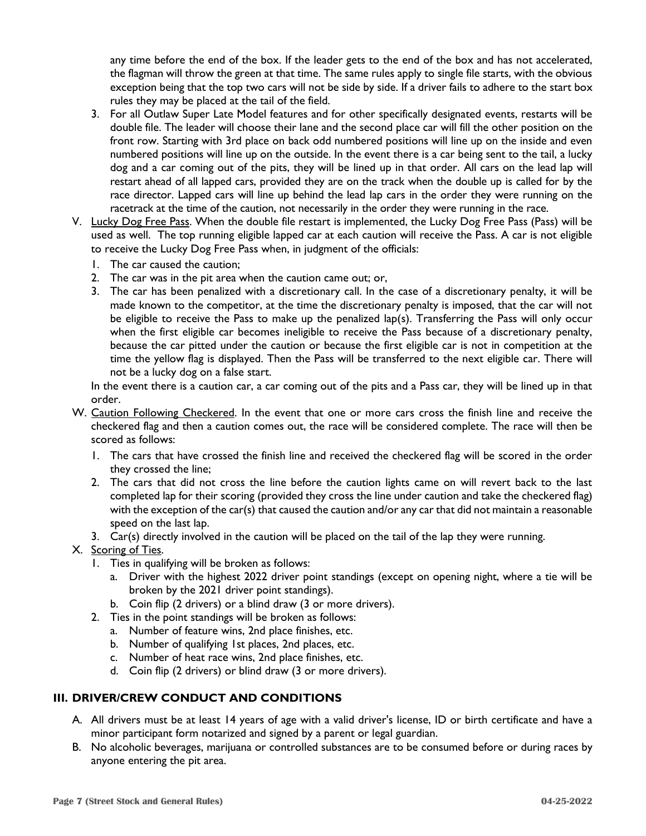any time before the end of the box. If the leader gets to the end of the box and has not accelerated, the flagman will throw the green at that time. The same rules apply to single file starts, with the obvious exception being that the top two cars will not be side by side. If a driver fails to adhere to the start box rules they may be placed at the tail of the field.

- 3. For all Outlaw Super Late Model features and for other specifically designated events, restarts will be double file. The leader will choose their lane and the second place car will fill the other position on the front row. Starting with 3rd place on back odd numbered positions will line up on the inside and even numbered positions will line up on the outside. In the event there is a car being sent to the tail, a lucky dog and a car coming out of the pits, they will be lined up in that order. All cars on the lead lap will restart ahead of all lapped cars, provided they are on the track when the double up is called for by the race director. Lapped cars will line up behind the lead lap cars in the order they were running on the racetrack at the time of the caution, not necessarily in the order they were running in the race.
- V. Lucky Dog Free Pass. When the double file restart is implemented, the Lucky Dog Free Pass (Pass) will be used as well. The top running eligible lapped car at each caution will receive the Pass. A car is not eligible to receive the Lucky Dog Free Pass when, in judgment of the officials:
	- 1. The car caused the caution;
	- 2. The car was in the pit area when the caution came out; or,
	- 3. The car has been penalized with a discretionary call. In the case of a discretionary penalty, it will be made known to the competitor, at the time the discretionary penalty is imposed, that the car will not be eligible to receive the Pass to make up the penalized lap(s). Transferring the Pass will only occur when the first eligible car becomes ineligible to receive the Pass because of a discretionary penalty, because the car pitted under the caution or because the first eligible car is not in competition at the time the yellow flag is displayed. Then the Pass will be transferred to the next eligible car. There will not be a lucky dog on a false start.

In the event there is a caution car, a car coming out of the pits and a Pass car, they will be lined up in that order.

- W. Caution Following Checkered. In the event that one or more cars cross the finish line and receive the checkered flag and then a caution comes out, the race will be considered complete. The race will then be scored as follows:
	- 1. The cars that have crossed the finish line and received the checkered flag will be scored in the order they crossed the line;
	- 2. The cars that did not cross the line before the caution lights came on will revert back to the last completed lap for their scoring (provided they cross the line under caution and take the checkered flag) with the exception of the car(s) that caused the caution and/or any car that did not maintain a reasonable speed on the last lap.
	- 3. Car(s) directly involved in the caution will be placed on the tail of the lap they were running.

### X. Scoring of Ties.

- 1. Ties in qualifying will be broken as follows:
	- a. Driver with the highest 2022 driver point standings (except on opening night, where a tie will be broken by the 2021 driver point standings).
	- b. Coin flip (2 drivers) or a blind draw (3 or more drivers).
- 2. Ties in the point standings will be broken as follows:
	- a. Number of feature wins, 2nd place finishes, etc.
	- b. Number of qualifying 1st places, 2nd places, etc.
	- c. Number of heat race wins, 2nd place finishes, etc.
	- d. Coin flip (2 drivers) or blind draw (3 or more drivers).

### **III. DRIVER/CREW CONDUCT AND CONDITIONS**

- A. All drivers must be at least 14 years of age with a valid driver's license, ID or birth certificate and have a minor participant form notarized and signed by a parent or legal guardian.
- B. No alcoholic beverages, marijuana or controlled substances are to be consumed before or during races by anyone entering the pit area.